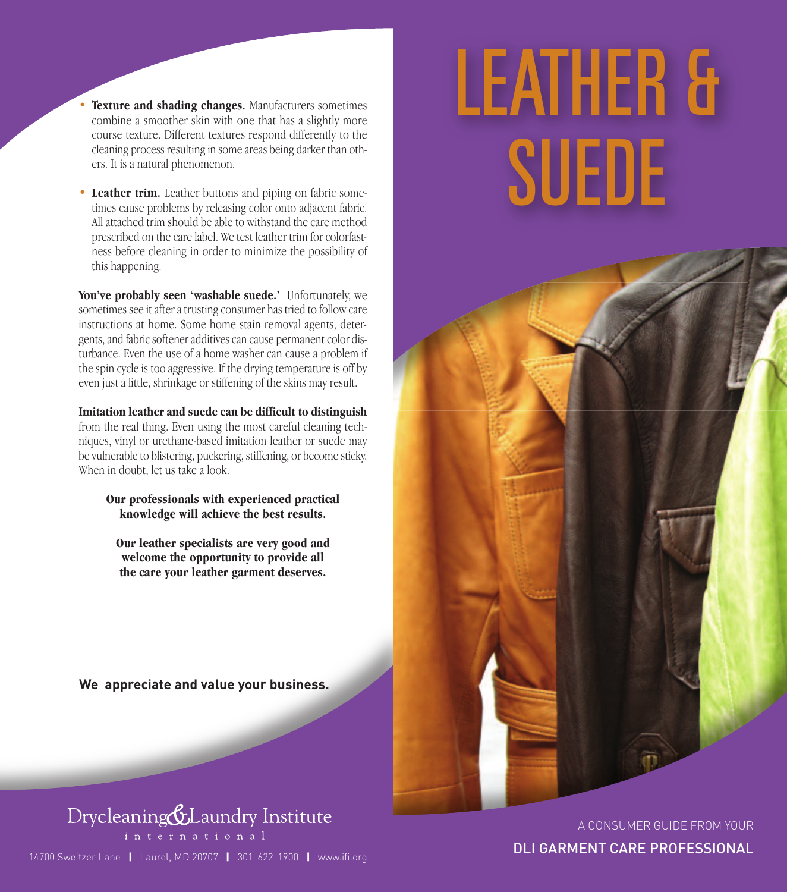- **Texture and shading changes.** Manufacturers sometimes combine a smoother skin with one that has a slightly more course texture. Different textures respond differently to the cleaning process resulting in some areas being darker than others. It is a natural phenomenon.
- **Leather trim.** Leather buttons and piping on fabric sometimes cause problems by releasing color onto adjacent fabric. All attached trim should be able to withstand the care method prescribed on the care label. We test leather trim for colorfastness before cleaning in order to minimize the possibility of this happening.

**You've probably seen 'washable suede.'** Unfortunately, we sometimes see it after a trusting consumer has tried to follow care instructions at home. Some home stain removal agents, detergents, and fabric softener additives can cause permanent color disturbance. Even the use of a home washer can cause a problem if the spin cycle is too aggressive. If the drying temperature is off by even just a little, shrinkage or stiffening of the skins may result.

**Imitation leather and suede can be difficult to distinguish** from the real thing. Even using the most careful cleaning techniques, vinyl or urethane-based imitation leather or suede may be vulnerable to blistering, puckering, stiffening, or become sticky. When in doubt, let us take a look.

#### **Our professionals with experienced practical knowledge will achieve the best results.**

**Our leather specialists are very good and welcome the opportunity to provide all the care your leather garment deserves.**

**We appreciate and value your business.**



14700 Sweitzer Lane **|** Laurel, MD 20707 **|** 301-622-1900 **|** www.ifi.org

# *LEATHER & SUEDE*

A CONSUMER GUIDE FROM YOUR

DLI GARMENT CARE PROFESSIONAL